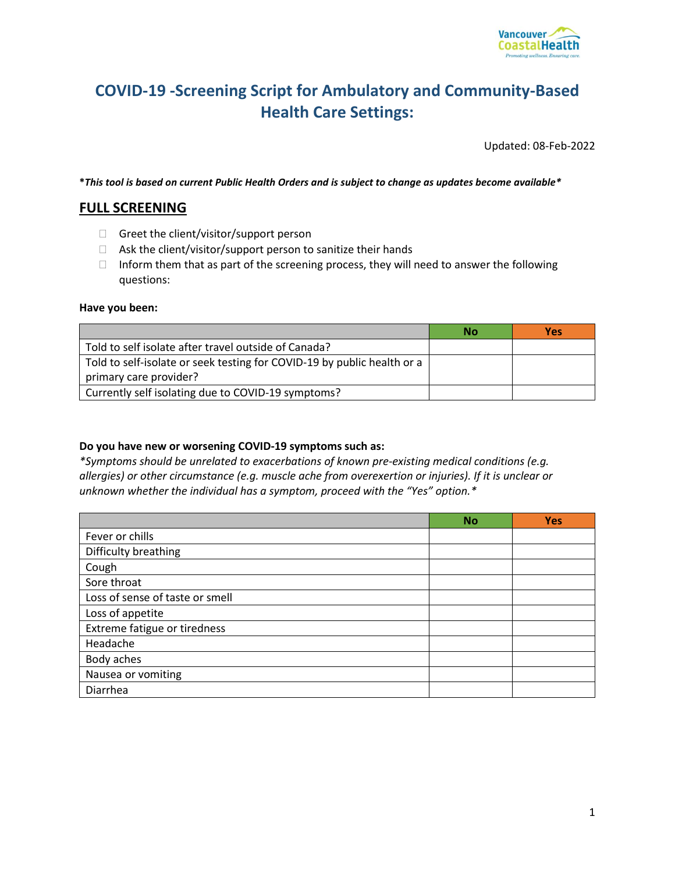

## **COVID-19 -Screening Script for Ambulatory and Community-Based Health Care Settings:**

Updated: 08-Feb-2022

**\****This tool is based on current Public Health Orders and is subject to change as updates become available\**

## **FULL SCREENING**

- Greet the client/visitor/support person
- $\Box$  Ask the client/visitor/support person to sanitize their hands
- $\Box$  Inform them that as part of the screening process, they will need to answer the following questions:

## **Have you been:**

|                                                                         | No | <b>Yes</b> |
|-------------------------------------------------------------------------|----|------------|
| Told to self isolate after travel outside of Canada?                    |    |            |
| Told to self-isolate or seek testing for COVID-19 by public health or a |    |            |
| primary care provider?                                                  |    |            |
| Currently self isolating due to COVID-19 symptoms?                      |    |            |

## **Do you have new or worsening COVID-19 symptoms such as:**

*\*Symptoms should be unrelated to exacerbations of known pre-existing medical conditions (e.g. allergies) or other circumstance (e.g. muscle ache from overexertion or injuries). If it is unclear or unknown whether the individual has a symptom, proceed with the "Yes" option.\**

|                                 | <b>No</b> | <b>Yes</b> |
|---------------------------------|-----------|------------|
| Fever or chills                 |           |            |
| Difficulty breathing            |           |            |
| Cough                           |           |            |
| Sore throat                     |           |            |
| Loss of sense of taste or smell |           |            |
| Loss of appetite                |           |            |
| Extreme fatigue or tiredness    |           |            |
| Headache                        |           |            |
| Body aches                      |           |            |
| Nausea or vomiting              |           |            |
| Diarrhea                        |           |            |